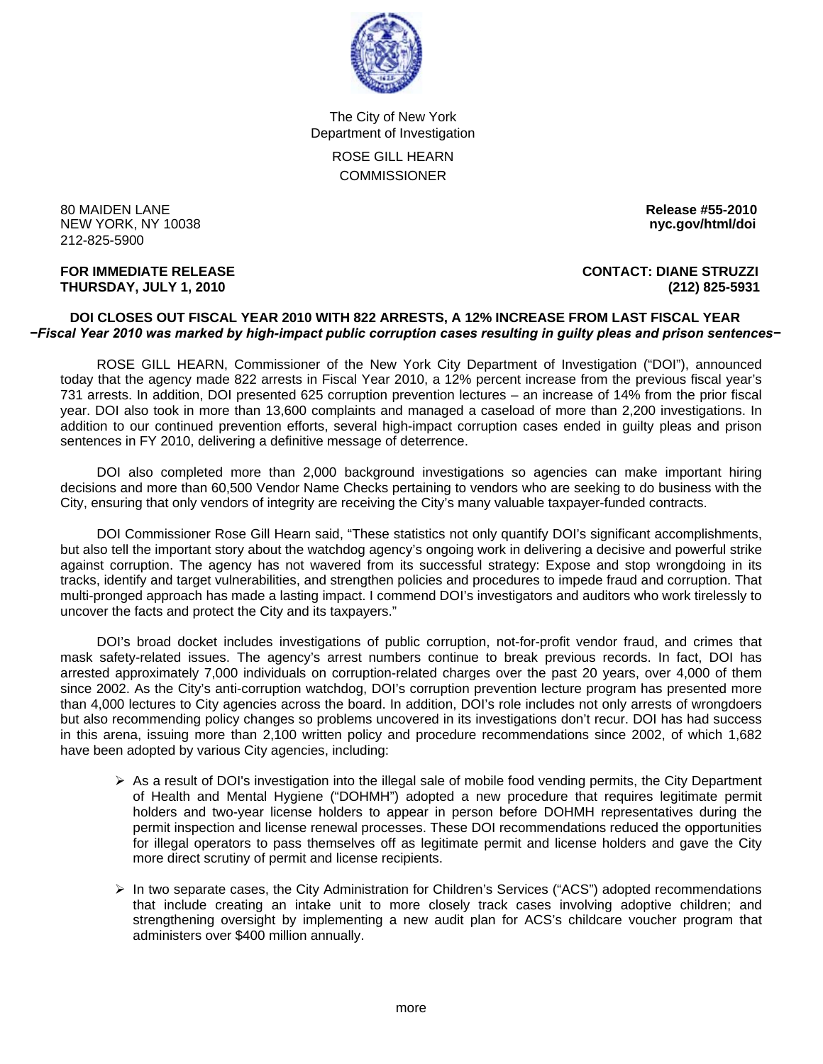

The City of New York Department of Investigation ROSE GILL HEARN **COMMISSIONER** 

80 MAIDEN LANE **Release #55-2010 NEW YORK, NY 10038** 212-825-5900

### **FOR IMMEDIATE RELEASE CONTACT: DIANE STRUZZI THURSDAY, JULY 1, 2010 (212) 825-5931**

### **DOI CLOSES OUT FISCAL YEAR 2010 WITH 822 ARRESTS, A 12% INCREASE FROM LAST FISCAL YEAR**  *−Fiscal Year 2010 was marked by high-impact public corruption cases resulting in guilty pleas and prison sentences−*

 ROSE GILL HEARN, Commissioner of the New York City Department of Investigation ("DOI"), announced today that the agency made 822 arrests in Fiscal Year 2010, a 12% percent increase from the previous fiscal year's 731 arrests. In addition, DOI presented 625 corruption prevention lectures – an increase of 14% from the prior fiscal year. DOI also took in more than 13,600 complaints and managed a caseload of more than 2,200 investigations. In addition to our continued prevention efforts, several high-impact corruption cases ended in guilty pleas and prison sentences in FY 2010, delivering a definitive message of deterrence.

 DOI also completed more than 2,000 background investigations so agencies can make important hiring decisions and more than 60,500 Vendor Name Checks pertaining to vendors who are seeking to do business with the City, ensuring that only vendors of integrity are receiving the City's many valuable taxpayer-funded contracts.

 DOI Commissioner Rose Gill Hearn said, "These statistics not only quantify DOI's significant accomplishments, but also tell the important story about the watchdog agency's ongoing work in delivering a decisive and powerful strike against corruption. The agency has not wavered from its successful strategy: Expose and stop wrongdoing in its tracks, identify and target vulnerabilities, and strengthen policies and procedures to impede fraud and corruption. That multi-pronged approach has made a lasting impact. I commend DOI's investigators and auditors who work tirelessly to uncover the facts and protect the City and its taxpayers."

 DOI's broad docket includes investigations of public corruption, not-for-profit vendor fraud, and crimes that mask safety-related issues. The agency's arrest numbers continue to break previous records. In fact, DOI has arrested approximately 7,000 individuals on corruption-related charges over the past 20 years, over 4,000 of them since 2002. As the City's anti-corruption watchdog, DOI's corruption prevention lecture program has presented more than 4,000 lectures to City agencies across the board. In addition, DOI's role includes not only arrests of wrongdoers but also recommending policy changes so problems uncovered in its investigations don't recur. DOI has had success in this arena, issuing more than 2,100 written policy and procedure recommendations since 2002, of which 1,682 have been adopted by various City agencies, including:

- $\triangleright$  As a result of DOI's investigation into the illegal sale of mobile food vending permits, the City Department of Health and Mental Hygiene ("DOHMH") adopted a new procedure that requires legitimate permit holders and two-year license holders to appear in person before DOHMH representatives during the permit inspection and license renewal processes. These DOI recommendations reduced the opportunities for illegal operators to pass themselves off as legitimate permit and license holders and gave the City more direct scrutiny of permit and license recipients.
- ¾ In two separate cases, the City Administration for Children's Services ("ACS") adopted recommendations that include creating an intake unit to more closely track cases involving adoptive children; and strengthening oversight by implementing a new audit plan for ACS's childcare voucher program that administers over \$400 million annually.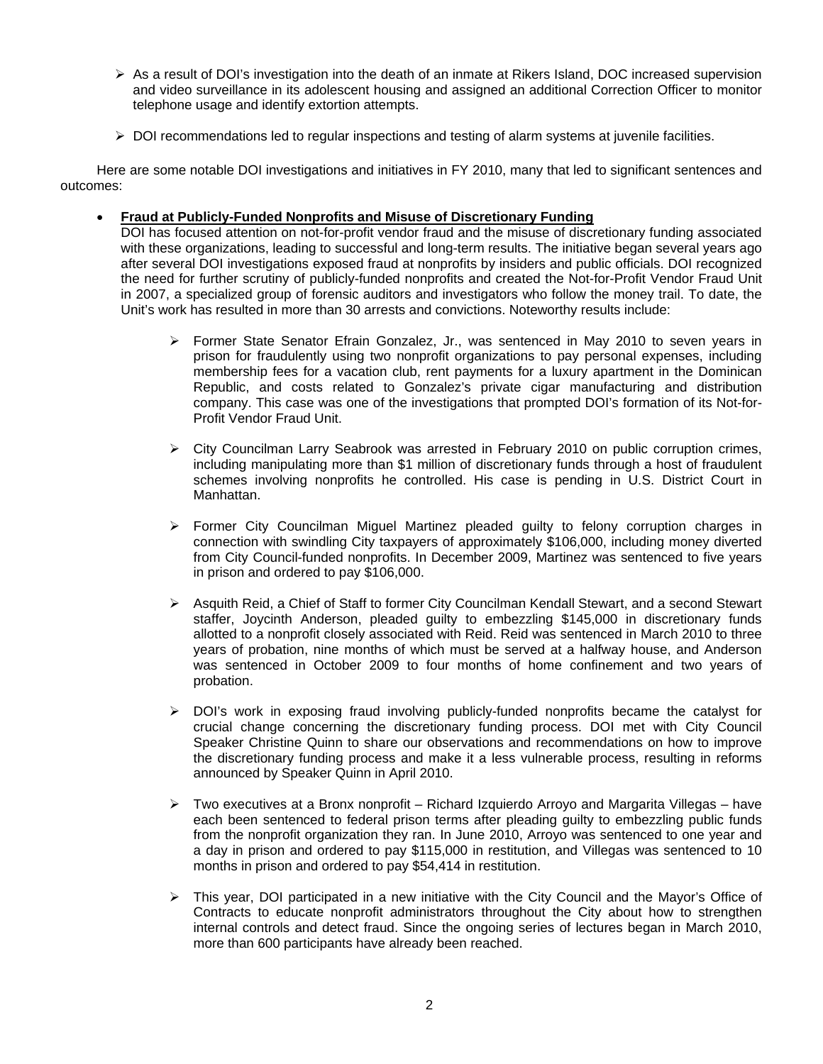- $\triangleright$  As a result of DOI's investigation into the death of an inmate at Rikers Island, DOC increased supervision and video surveillance in its adolescent housing and assigned an additional Correction Officer to monitor telephone usage and identify extortion attempts.
- $\triangleright$  DOI recommendations led to regular inspections and testing of alarm systems at juvenile facilities.

 Here are some notable DOI investigations and initiatives in FY 2010, many that led to significant sentences and outcomes:

### • **Fraud at Publicly-Funded Nonprofits and Misuse of Discretionary Funding**

DOI has focused attention on not-for-profit vendor fraud and the misuse of discretionary funding associated with these organizations, leading to successful and long-term results. The initiative began several years ago after several DOI investigations exposed fraud at nonprofits by insiders and public officials. DOI recognized the need for further scrutiny of publicly-funded nonprofits and created the Not-for-Profit Vendor Fraud Unit in 2007, a specialized group of forensic auditors and investigators who follow the money trail. To date, the Unit's work has resulted in more than 30 arrests and convictions. Noteworthy results include:

- $\triangleright$  Former State Senator Efrain Gonzalez, Jr., was sentenced in May 2010 to seven years in prison for fraudulently using two nonprofit organizations to pay personal expenses, including membership fees for a vacation club, rent payments for a luxury apartment in the Dominican Republic, and costs related to Gonzalez's private cigar manufacturing and distribution company. This case was one of the investigations that prompted DOI's formation of its Not-for-Profit Vendor Fraud Unit.
- $\triangleright$  City Councilman Larry Seabrook was arrested in February 2010 on public corruption crimes, including manipulating more than \$1 million of discretionary funds through a host of fraudulent schemes involving nonprofits he controlled. His case is pending in U.S. District Court in Manhattan.
- $\triangleright$  Former City Councilman Miguel Martinez pleaded guilty to felony corruption charges in connection with swindling City taxpayers of approximately \$106,000, including money diverted from City Council-funded nonprofits. In December 2009, Martinez was sentenced to five years in prison and ordered to pay \$106,000.
- ¾ Asquith Reid, a Chief of Staff to former City Councilman Kendall Stewart, and a second Stewart staffer, Joycinth Anderson, pleaded guilty to embezzling \$145,000 in discretionary funds allotted to a nonprofit closely associated with Reid. Reid was sentenced in March 2010 to three years of probation, nine months of which must be served at a halfway house, and Anderson was sentenced in October 2009 to four months of home confinement and two years of probation.
- $\triangleright$  DOI's work in exposing fraud involving publicly-funded nonprofits became the catalyst for crucial change concerning the discretionary funding process. DOI met with City Council Speaker Christine Quinn to share our observations and recommendations on how to improve the discretionary funding process and make it a less vulnerable process, resulting in reforms announced by Speaker Quinn in April 2010.
- $\triangleright$  Two executives at a Bronx nonprofit Richard Izquierdo Arroyo and Margarita Villegas have each been sentenced to federal prison terms after pleading guilty to embezzling public funds from the nonprofit organization they ran. In June 2010, Arroyo was sentenced to one year and a day in prison and ordered to pay \$115,000 in restitution, and Villegas was sentenced to 10 months in prison and ordered to pay \$54,414 in restitution.
- $\triangleright$  This year, DOI participated in a new initiative with the City Council and the Mayor's Office of Contracts to educate nonprofit administrators throughout the City about how to strengthen internal controls and detect fraud. Since the ongoing series of lectures began in March 2010, more than 600 participants have already been reached.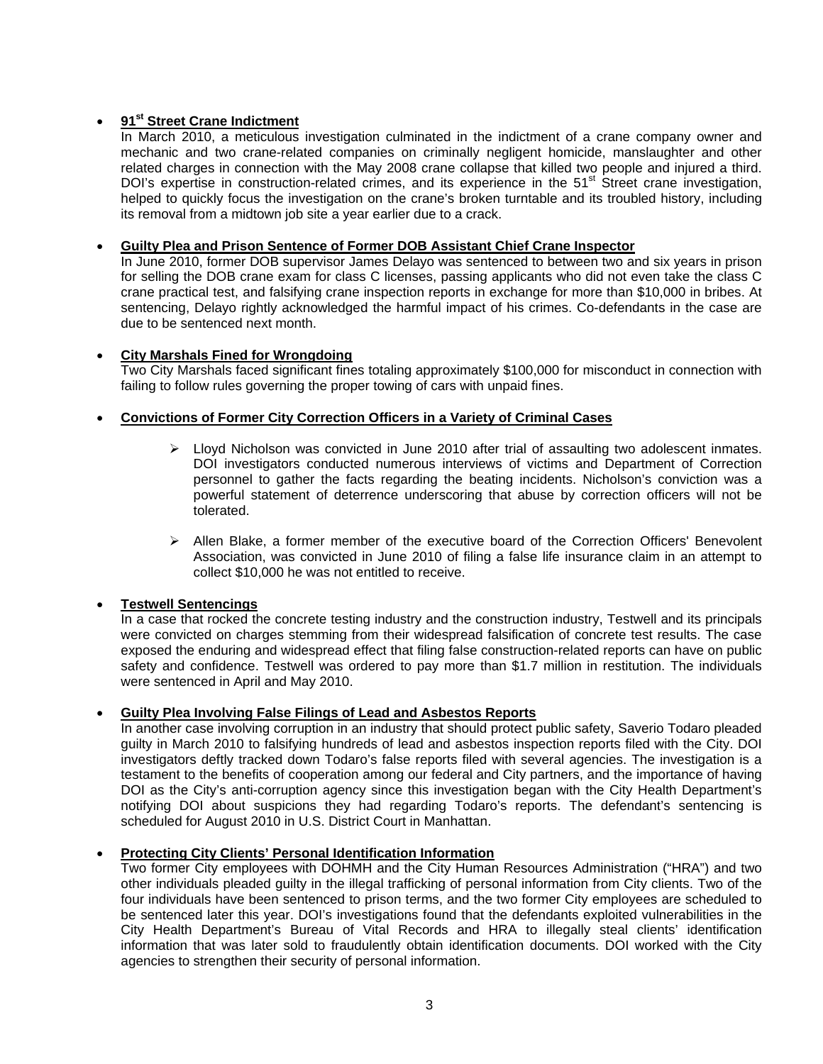# • **91st Street Crane Indictment**

In March 2010, a meticulous investigation culminated in the indictment of a crane company owner and mechanic and two crane-related companies on criminally negligent homicide, manslaughter and other related charges in connection with the May 2008 crane collapse that killed two people and injured a third. DOI's expertise in construction-related crimes, and its experience in the 51<sup>st</sup> Street crane investigation, helped to quickly focus the investigation on the crane's broken turntable and its troubled history, including its removal from a midtown job site a year earlier due to a crack.

# • **Guilty Plea and Prison Sentence of Former DOB Assistant Chief Crane Inspector**

In June 2010, former DOB supervisor James Delayo was sentenced to between two and six years in prison for selling the DOB crane exam for class C licenses, passing applicants who did not even take the class C crane practical test, and falsifying crane inspection reports in exchange for more than \$10,000 in bribes. At sentencing, Delayo rightly acknowledged the harmful impact of his crimes. Co-defendants in the case are due to be sentenced next month.

# • **City Marshals Fined for Wrongdoing**

Two City Marshals faced significant fines totaling approximately \$100,000 for misconduct in connection with failing to follow rules governing the proper towing of cars with unpaid fines.

# • **Convictions of Former City Correction Officers in a Variety of Criminal Cases**

- $\triangleright$  Lloyd Nicholson was convicted in June 2010 after trial of assaulting two adolescent inmates. DOI investigators conducted numerous interviews of victims and Department of Correction personnel to gather the facts regarding the beating incidents. Nicholson's conviction was a powerful statement of deterrence underscoring that abuse by correction officers will not be tolerated.
- $\triangleright$  Allen Blake, a former member of the executive board of the Correction Officers' Benevolent Association, was convicted in June 2010 of filing a false life insurance claim in an attempt to collect \$10,000 he was not entitled to receive.

# • **Testwell Sentencings**

In a case that rocked the concrete testing industry and the construction industry, Testwell and its principals were convicted on charges stemming from their widespread falsification of concrete test results. The case exposed the enduring and widespread effect that filing false construction-related reports can have on public safety and confidence. Testwell was ordered to pay more than \$1.7 million in restitution. The individuals were sentenced in April and May 2010.

# • **Guilty Plea Involving False Filings of Lead and Asbestos Reports**

In another case involving corruption in an industry that should protect public safety, Saverio Todaro pleaded guilty in March 2010 to falsifying hundreds of lead and asbestos inspection reports filed with the City. DOI investigators deftly tracked down Todaro's false reports filed with several agencies. The investigation is a testament to the benefits of cooperation among our federal and City partners, and the importance of having DOI as the City's anti-corruption agency since this investigation began with the City Health Department's notifying DOI about suspicions they had regarding Todaro's reports. The defendant's sentencing is scheduled for August 2010 in U.S. District Court in Manhattan.

# • **Protecting City Clients' Personal Identification Information**

Two former City employees with DOHMH and the City Human Resources Administration ("HRA") and two other individuals pleaded guilty in the illegal trafficking of personal information from City clients. Two of the four individuals have been sentenced to prison terms, and the two former City employees are scheduled to be sentenced later this year. DOI's investigations found that the defendants exploited vulnerabilities in the City Health Department's Bureau of Vital Records and HRA to illegally steal clients' identification information that was later sold to fraudulently obtain identification documents. DOI worked with the City agencies to strengthen their security of personal information.